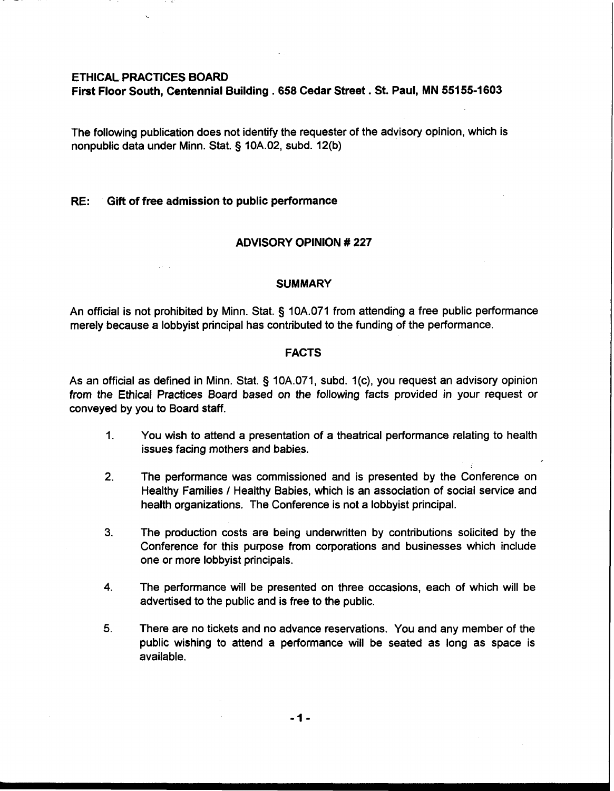### **ETHICAL PRACTICES BOARD**

**First Floor South, Centennial Building** . **658 Cedar Street** . **St. Paul, MN 55155-1 603** 

The following publication does not identify the requester of the advisory opinion, which is nonpublic data under Minn. Stat. **3** 10A.02, subd. 12(b)

## **RE: Gift of free admission to public performance**

## **ADVISORY OPINION** # **227**

#### **SUMMARY**

An official is not prohibited by Minn. Stat. § 10A.071 from attending a free public performance merely because a lobbyist principal has contributed to the funding of the performance.

## **FACTS**

As an official as defined in Minn. Stat.  $\S$  10A.071, subd. 1(c), you request an advisory opinion from the Ethical Practices Board based on the following facts provided in your request or conveyed by you to Board staff.

- 1. You wish to attend a presentation of a theatrical performance relating to health issues facing mothers and babies.
- **2.** The performance was commissioned and is presented by the Conference on Healthy Families / Healthy Babies, which is an association of social service and health organizations. The Conference is not a lobbyist principal.
- **3.** The production costs are being underwritten by contributions solicited by the Conference for this purpose from corporations and businesses which include one or more lobbyist principals.
- **4.** The performance will be presented on three occasions, each of which will be advertised to the public and is free to the public.
- **5.** There are no tickets and no advance reservations. You and any member of the public wishing to attend a performance will be seated as long as space is available.